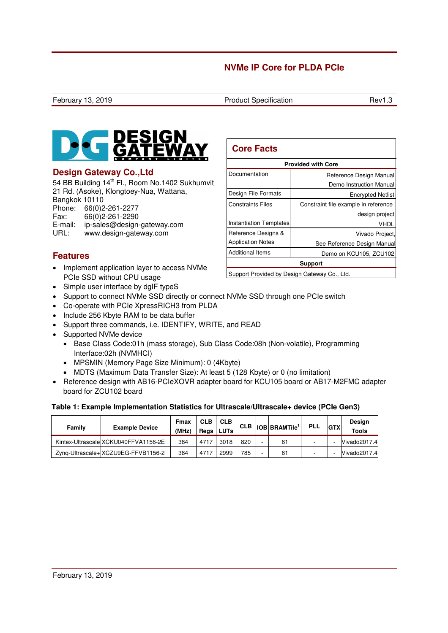

## **Design Gateway Co.,Ltd**

54 BB Building 14<sup>th</sup> Fl., Room No.1402 Sukhumvit 21 Rd. (Asoke), Klongtoey-Nua, Wattana, Bangkok 10110 Phone: 66(0)2-261-2277 Fax: 66(0)2-261-2290

E-mail: ip-sales@design-gateway.com<br>URL: www.design-gateway.com www.design-gateway.com

# **Features**

- Implement application layer to access NVMe PCIe SSD without CPU usage
- Simple user interface by dgIF typeS
- Support to connect NVMe SSD directly or connect NVMe SSD through one PCIe switch
- Co-operate with PCIe XpressRICH3 from PLDA
- Include 256 Kbyte RAM to be data buffer
- Support three commands, i.e. IDENTIFY, WRITE, and READ
- Supported NVMe device
	- Base Class Code:01h (mass storage), Sub Class Code:08h (Non-volatile), Programming Interface:02h (NVMHCI)
	- MPSMIN (Memory Page Size Minimum): 0 (4Kbyte)
	- MDTS (Maximum Data Transfer Size): At least 5 (128 Kbyte) or 0 (no limitation)
- Reference design with AB16-PCIeXOVR adapter board for KCU105 board or AB17-M2FMC adapter board for ZCU102 board

### **Table 1: Example Implementation Statistics for Ultrascale/Ultrascale+ device (PCIe Gen3)**

| Family | <b>Example Device</b>                | Fmax<br>(MHz) | <b>CLB</b><br>Reas | <b>CLB</b><br><b>LUTs</b> |     | $CLB$ $ OB BRAMTile$ <sup>1</sup> | <b>PLL</b> | <b>GTX</b> | Design<br><b>Tools</b> |
|--------|--------------------------------------|---------------|--------------------|---------------------------|-----|-----------------------------------|------------|------------|------------------------|
|        | Kintex-Ultrascale XCKU040FFVA1156-2E | 384           | 4717               | 3018                      | 820 | 61                                |            |            | Vivado2017.4           |
|        | Zyng-Ultrascale+ XCZU9EG-FFVB1156-2  | 384           | 4717               | 2999                      | 785 | 61                                |            |            | Vivado2017.4           |

| <b>Core Facts</b>              |                                      |  |  |  |
|--------------------------------|--------------------------------------|--|--|--|
| <b>Provided with Core</b>      |                                      |  |  |  |
| Documentation                  | Reference Design Manual              |  |  |  |
|                                | Demo Instruction Manual              |  |  |  |
| Design File Formats            | <b>Encrypted Netlist</b>             |  |  |  |
| <b>Constraints Files</b>       | Constraint file example in reference |  |  |  |
|                                | design project                       |  |  |  |
| <b>Instantiation Templates</b> | Vhdl                                 |  |  |  |
| Reference Designs &            | Vivado Project,                      |  |  |  |
| <b>Application Notes</b>       | See Reference Design Manual          |  |  |  |
| <b>Additional Items</b>        | Demo on KCU105, ZCU102               |  |  |  |
| <b>Support</b>                 |                                      |  |  |  |

Support Provided by Design Gateway Co., Ltd.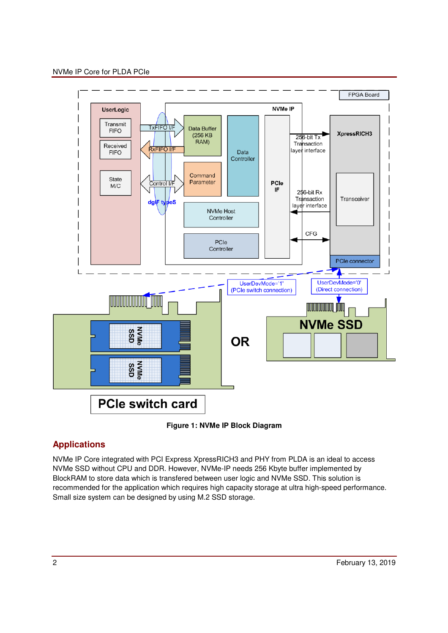

**Figure 1: NVMe IP Block Diagram** 

## **Applications**

NVMe IP Core integrated with PCI Express XpressRICH3 and PHY from PLDA is an ideal to access NVMe SSD without CPU and DDR. However, NVMe-IP needs 256 Kbyte buffer implemented by BlockRAM to store data which is transfered between user logic and NVMe SSD. This solution is recommended for the application which requires high capacity storage at ultra high-speed performance. Small size system can be designed by using M.2 SSD storage.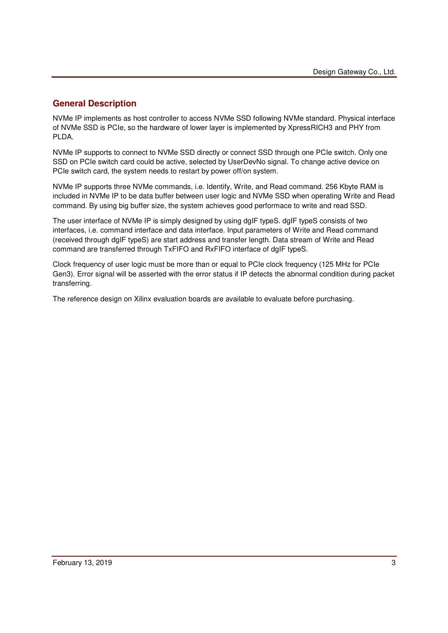## **General Description**

NVMe IP implements as host controller to access NVMe SSD following NVMe standard. Physical interface of NVMe SSD is PCIe, so the hardware of lower layer is implemented by XpressRICH3 and PHY from PLDA.

NVMe IP supports to connect to NVMe SSD directly or connect SSD through one PCIe switch. Only one SSD on PCIe switch card could be active, selected by UserDevNo signal. To change active device on PCIe switch card, the system needs to restart by power off/on system.

NVMe IP supports three NVMe commands, i.e. Identify, Write, and Read command. 256 Kbyte RAM is included in NVMe IP to be data buffer between user logic and NVMe SSD when operating Write and Read command. By using big buffer size, the system achieves good performace to write and read SSD.

The user interface of NVMe IP is simply designed by using dgIF typeS. dgIF typeS consists of two interfaces, i.e. command interface and data interface. Input parameters of Write and Read command (received through dgIF typeS) are start address and transfer length. Data stream of Write and Read command are transferred through TxFIFO and RxFIFO interface of dgIF typeS.

Clock frequency of user logic must be more than or equal to PCIe clock frequency (125 MHz for PCIe Gen3). Error signal will be asserted with the error status if IP detects the abnormal condition during packet transferring.

The reference design on Xilinx evaluation boards are available to evaluate before purchasing.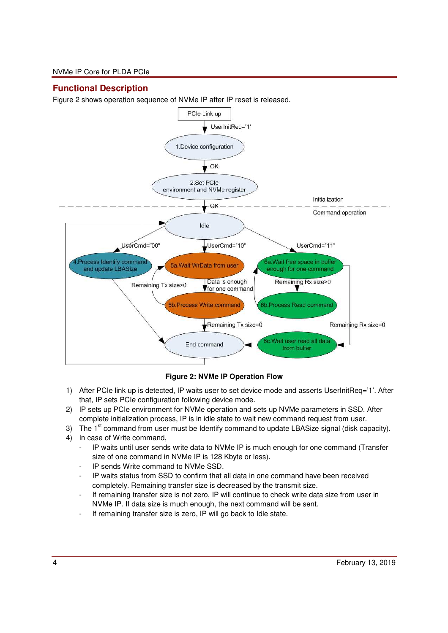## **Functional Description**

Figure 2 shows operation sequence of NVMe IP after IP reset is released.



**Figure 2: NVMe IP Operation Flow** 

- 1) After PCIe link up is detected, IP waits user to set device mode and asserts UserInitReq='1'. After that, IP sets PCIe configuration following device mode.
- 2) IP sets up PCIe environment for NVMe operation and sets up NVMe parameters in SSD. After complete initialization process, IP is in idle state to wait new command request from user.
- 3) The  $1<sup>st</sup>$  command from user must be Identify command to update LBASize signal (disk capacity).
- 4) In case of Write command,
	- IP waits until user sends write data to NVMe IP is much enough for one command (Transfer size of one command in NVMe IP is 128 Kbyte or less).
	- IP sends Write command to NVMe SSD.
	- IP waits status from SSD to confirm that all data in one command have been received completely. Remaining transfer size is decreased by the transmit size.
	- If remaining transfer size is not zero, IP will continue to check write data size from user in NVMe IP. If data size is much enough, the next command will be sent.
	- If remaining transfer size is zero, IP will go back to Idle state.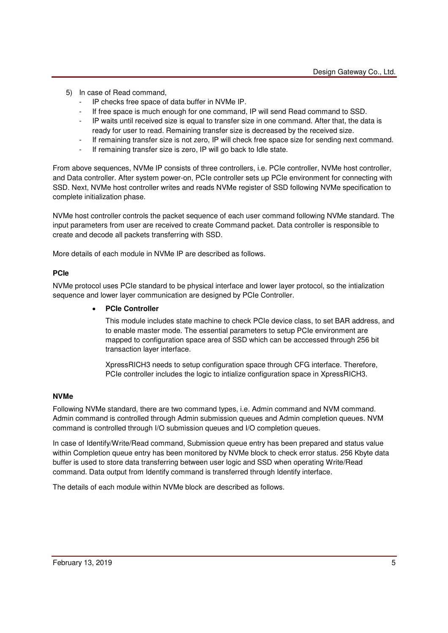- 5) In case of Read command,
	- IP checks free space of data buffer in NVMe IP.
	- If free space is much enough for one command, IP will send Read command to SSD.
	- IP waits until received size is equal to transfer size in one command. After that, the data is ready for user to read. Remaining transfer size is decreased by the received size.
	- If remaining transfer size is not zero, IP will check free space size for sending next command.
	- If remaining transfer size is zero, IP will go back to Idle state.

From above sequences, NVMe IP consists of three controllers, i.e. PCIe controller, NVMe host controller, and Data controller. After system power-on, PCIe controller sets up PCIe environment for connecting with SSD. Next, NVMe host controller writes and reads NVMe register of SSD following NVMe specification to complete initialization phase.

NVMe host controller controls the packet sequence of each user command following NVMe standard. The input parameters from user are received to create Command packet. Data controller is responsible to create and decode all packets transferring with SSD.

More details of each module in NVMe IP are described as follows.

### **PCIe**

NVMe protocol uses PCIe standard to be physical interface and lower layer protocol, so the intialization sequence and lower layer communication are designed by PCIe Controller.

### • **PCIe Controller**

This module includes state machine to check PCIe device class, to set BAR address, and to enable master mode. The essential parameters to setup PCIe environment are mapped to configuration space area of SSD which can be acccessed through 256 bit transaction layer interface.

XpressRICH3 needs to setup configuration space through CFG interface. Therefore, PCIe controller includes the logic to intialize configuration space in XpressRICH3.

### **NVMe**

Following NVMe standard, there are two command types, i.e. Admin command and NVM command. Admin command is controlled through Admin submission queues and Admin completion queues. NVM command is controlled through I/O submission queues and I/O completion queues.

In case of Identify/Write/Read command, Submission queue entry has been prepared and status value within Completion queue entry has been monitored by NVMe block to check error status. 256 Kbyte data buffer is used to store data transferring between user logic and SSD when operating Write/Read command. Data output from Identify command is transferred through Identify interface.

The details of each module within NVMe block are described as follows.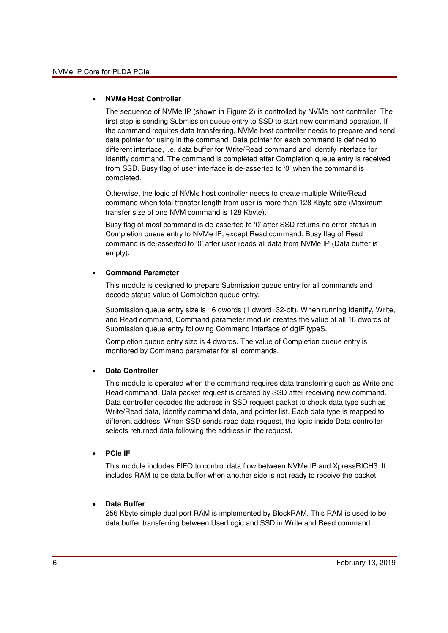### • **NVMe Host Controller**

The sequence of NVMe IP (shown in Figure 2) is controlled by NVMe host controller. The first step is sending Submission queue entry to SSD to start new command operation. If the command requires data transferring, NVMe host controller needs to prepare and send data pointer for using in the command. Data pointer for each command is defined to different interface, i.e. data buffer for Write/Read command and Identify interface for Identify command. The command is completed after Completion queue entry is received from SSD. Busy flag of user interface is de-asserted to '0' when the command is completed.

Otherwise, the logic of NVMe host controller needs to create multiple Write/Read command when total transfer length from user is more than 128 Kbyte size (Maximum transfer size of one NVM command is 128 Kbyte).

Busy flag of most command is de-asserted to '0' after SSD returns no error status in Completion queue entry to NVMe IP, except Read command. Busy flag of Read command is de-asserted to '0' after user reads all data from NVMe IP (Data buffer is empty).

### • **Command Parameter**

This module is designed to prepare Submission queue entry for all commands and decode status value of Completion queue entry.

Submission queue entry size is 16 dwords (1 dword=32-bit). When running Identify, Write, and Read command, Command parameter module creates the value of all 16 dwords of Submission queue entry following Command interface of dgIF typeS.

Completion queue entry size is 4 dwords. The value of Completion queue entry is monitored by Command parameter for all commands.

### • **Data Controller**

This module is operated when the command requires data transferring such as Write and Read command. Data packet request is created by SSD after receiving new command. Data controller decodes the address in SSD request packet to check data type such as Write/Read data, Identify command data, and pointer list. Each data type is mapped to different address. When SSD sends read data request, the logic inside Data controller selects returned data following the address in the request.

#### • **PCIe IF**

This module includes FIFO to control data flow between NVMe IP and XpressRICH3. It includes RAM to be data buffer when another side is not ready to receive the packet.

### • **Data Buffer**

256 Kbyte simple dual port RAM is implemented by BlockRAM. This RAM is used to be data buffer transferring between UserLogic and SSD in Write and Read command.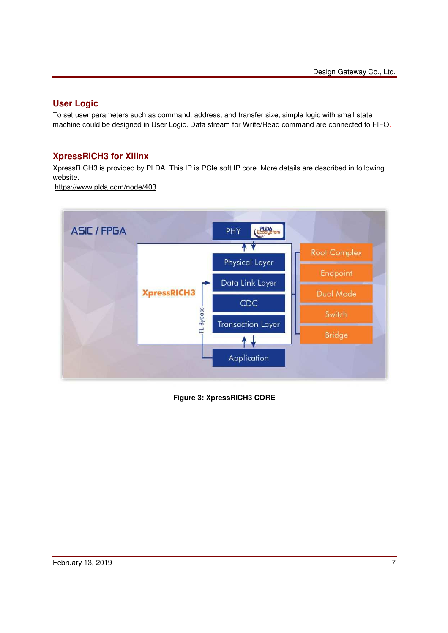## **User Logic**

To set user parameters such as command, address, and transfer size, simple logic with small state machine could be designed in User Logic. Data stream for Write/Read command are connected to FIFO.

## **XpressRICH3 for Xilinx**

XpressRICH3 is provided by PLDA. This IP is PCIe soft IP core. More details are described in following website.

https://www.plda.com/node/403



**Figure 3: XpressRICH3 CORE**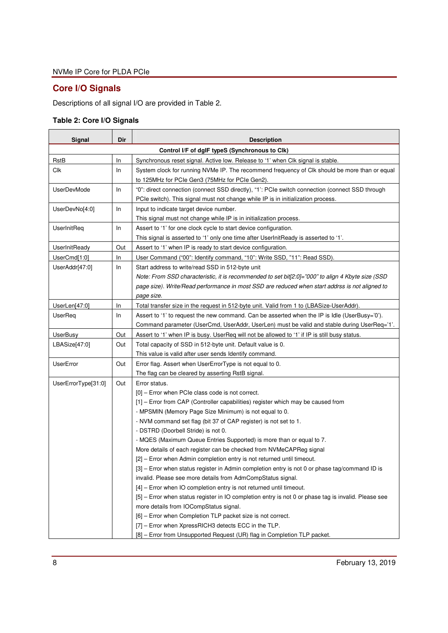# **Core I/O Signals**

Descriptions of all signal I/O are provided in Table 2.

## **Table 2: Core I/O Signals**

| Signal              | Dir | <b>Description</b>                                                                                   |
|---------------------|-----|------------------------------------------------------------------------------------------------------|
|                     |     | Control I/F of dgIF typeS (Synchronous to Clk)                                                       |
| RstB                | In  | Synchronous reset signal. Active low. Release to '1' when Clk signal is stable.                      |
| Clk                 | In  | System clock for running NVMe IP. The recommend frequency of Clk should be more than or equal        |
|                     |     | to 125MHz for PCIe Gen3 (75MHz for PCIe Gen2).                                                       |
| <b>UserDevMode</b>  | In  | "0": direct connection (connect SSD directly), "1': PCIe switch connection (connect SSD through      |
|                     |     | PCIe switch). This signal must not change while IP is in initialization process.                     |
| UserDevNo[4:0]      | In  | Input to indicate target device number.                                                              |
|                     |     | This signal must not change while IP is in initialization process.                                   |
| UserInitReq         | In  | Assert to '1' for one clock cycle to start device configuration.                                     |
|                     |     | This signal is asserted to '1' only one time after UserInitReady is asserted to '1'.                 |
| UserInitReady       | Out | Assert to '1' when IP is ready to start device configuration.                                        |
| UserCmd[1:0]        | In  | User Command ("00": Identify command, "10": Write SSD, "11": Read SSD).                              |
| UserAddr[47:0]      | In  | Start address to write/read SSD in 512-byte unit                                                     |
|                     |     | Note: From SSD characteristic, it is recommended to set bit[2:0]="000" to align 4 Kbyte size (SSD    |
|                     |     | page size). Write/Read performance in most SSD are reduced when start addrss is not aligned to       |
|                     |     | page size.                                                                                           |
| UserLen[47:0]       | In  | Total transfer size in the request in 512-byte unit. Valid from 1 to (LBASize-UserAddr).             |
| UserReq             | In  | Assert to '1' to request the new command. Can be asserted when the IP is Idle (UserBusy='0').        |
|                     |     | Command parameter (UserCmd, UserAddr, UserLen) must be valid and stable during UserReq='1'.          |
| <b>UserBusy</b>     | Out | Assert to '1' when IP is busy. UserReq will not be allowed to '1' if IP is still busy status.        |
| LBASize[47:0]       | Out | Total capacity of SSD in 512-byte unit. Default value is 0.                                          |
|                     |     | This value is valid after user sends Identify command.                                               |
| UserError           | Out | Error flag. Assert when UserErrorType is not equal to 0.                                             |
|                     |     | The flag can be cleared by asserting RstB signal.                                                    |
| UserErrorType[31:0] | Out | Error status.                                                                                        |
|                     |     | [0] - Error when PCIe class code is not correct.                                                     |
|                     |     | [1] – Error from CAP (Controller capabilities) register which may be caused from                     |
|                     |     | - MPSMIN (Memory Page Size Minimum) is not equal to 0.                                               |
|                     |     | - NVM command set flag (bit 37 of CAP register) is not set to 1.                                     |
|                     |     | - DSTRD (Doorbell Stride) is not 0.                                                                  |
|                     |     | - MQES (Maximum Queue Entries Supported) is more than or equal to 7.                                 |
|                     |     | More details of each register can be checked from NVMeCAPReg signal                                  |
|                     |     | [2] - Error when Admin completion entry is not returned until timeout.                               |
|                     |     | [3] – Error when status register in Admin completion entry is not 0 or phase tag/command ID is       |
|                     |     | invalid. Please see more details from AdmCompStatus signal.                                          |
|                     |     | [4] – Error when IO completion entry is not returned until timeout.                                  |
|                     |     | [5] – Error when status register in IO completion entry is not 0 or phase tag is invalid. Please see |
|                     |     | more details from IOCompStatus signal.                                                               |
|                     |     | [6] - Error when Completion TLP packet size is not correct.                                          |
|                     |     | [7] - Error when XpressRICH3 detects ECC in the TLP.                                                 |
|                     |     | [8] - Error from Unsupported Request (UR) flag in Completion TLP packet.                             |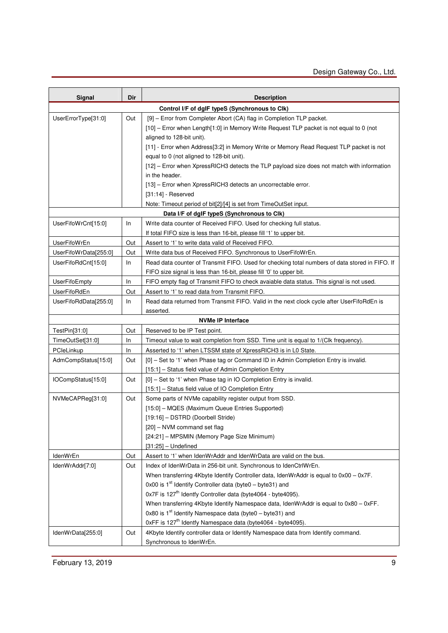| Signal                | Dir | <b>Description</b>                                                                             |
|-----------------------|-----|------------------------------------------------------------------------------------------------|
|                       |     | Control I/F of dgIF typeS (Synchronous to CIk)                                                 |
| UserErrorType[31:0]   | Out | [9] - Error from Completer Abort (CA) flag in Completion TLP packet.                           |
|                       |     | [10] – Error when Length[1:0] in Memory Write Request TLP packet is not equal to 0 (not        |
|                       |     | aligned to 128-bit unit).                                                                      |
|                       |     | [11] - Error when Address[3:2] in Memory Write or Memory Read Request TLP packet is not        |
|                       |     | equal to 0 (not aligned to 128-bit unit).                                                      |
|                       |     | [12] - Error when XpressRICH3 detects the TLP payload size does not match with information     |
|                       |     | in the header.                                                                                 |
|                       |     | [13] - Error when XpressRICH3 detects an uncorrectable error.                                  |
|                       |     | $[31:14]$ - Reserved                                                                           |
|                       |     | Note: Timeout period of bit[2]/[4] is set from TimeOutSet input.                               |
|                       |     | Data I/F of dgIF typeS (Synchronous to Clk)                                                    |
| UserFifoWrCnt[15:0]   | In. | Write data counter of Received FIFO. Used for checking full status.                            |
|                       |     | If total FIFO size is less than 16-bit, please fill '1' to upper bit.                          |
| UserFifoWrEn          | Out | Assert to '1' to write data valid of Received FIFO.                                            |
| UserFifoWrData[255:0] | Out | Write data bus of Received FIFO. Synchronous to UserFifoWrEn.                                  |
| UserFifoRdCnt[15:0]   | In. | Read data counter of Transmit FIFO. Used for checking total numbers of data stored in FIFO. If |
|                       |     | FIFO size signal is less than 16-bit, please fill '0' to upper bit.                            |
| <b>UserFifoEmpty</b>  | In. | FIFO empty flag of Transmit FIFO to check avaiable data status. This signal is not used.       |
| <b>UserFifoRdEn</b>   | Out | Assert to '1' to read data from Transmit FIFO.                                                 |
| UserFifoRdData[255:0] | In. | Read data returned from Transmit FIFO. Valid in the next clock cycle after UserFifoRdEn is     |
|                       |     | asserted.                                                                                      |
|                       |     | <b>NVMe IP Interface</b>                                                                       |
| TestPin[31:0]         | Out | Reserved to be IP Test point.                                                                  |
| TimeOutSet[31:0]      | In  | Timeout value to wait completion from SSD. Time unit is equal to 1/(Clk frequency).            |
| PCleLinkup            | In. | Asserted to '1' when LTSSM state of XpressRICH3 is in L0 State.                                |
| AdmCompStatus[15:0]   | Out | [0] - Set to '1' when Phase tag or Command ID in Admin Completion Entry is invalid.            |
|                       |     | [15:1] - Status field value of Admin Completion Entry                                          |
| IOCompStatus[15:0]    | Out | [0] - Set to '1' when Phase tag in IO Completion Entry is invalid.                             |
|                       |     | [15:1] - Status field value of IO Completion Entry                                             |
| NVMeCAPReg[31:0]      | Out | Some parts of NVMe capability register output from SSD.                                        |
|                       |     | [15:0] - MQES (Maximum Queue Entries Supported)                                                |
|                       |     | [19:16] - DSTRD (Doorbell Stride)                                                              |
|                       |     | [20] - NVM command set flag                                                                    |
|                       |     | [24:21] - MPSMIN (Memory Page Size Minimum)                                                    |
|                       |     | $[31:25]$ - Undefined                                                                          |
| IdenWrEn              | Out | Assert to '1' when IdenWrAddr and IdenWrData are valid on the bus.                             |
| IdenWrAddr[7:0]       | Out | Index of IdenWrData in 256-bit unit. Synchronous to IdenCtrlWrEn.                              |
|                       |     | When transferring 4Kbyte Identify Controller data, IdenWrAddr is equal to 0x00 - 0x7F.         |
|                       |     | 0x00 is $1st$ Identify Controller data (byte0 – byte31) and                                    |
|                       |     | 0x7F is 127 <sup>th</sup> Identfy Controller data (byte4064 - byte4095).                       |
|                       |     | When transferring 4Kbyte Identify Namespace data, IdenWrAddr is equal to 0x80 - 0xFF.          |
|                       |     | 0x80 is $1st$ Identify Namespace data (byte0 – byte31) and                                     |
|                       |     | 0xFF is 127 <sup>th</sup> Identfy Namespace data (byte4064 - byte4095)                         |
| IdenWrData[255:0]     | Out | 4Kbyte Identify controller data or Identify Namespace data from Identify command.              |
|                       |     | Synchronous to IdenWrEn.                                                                       |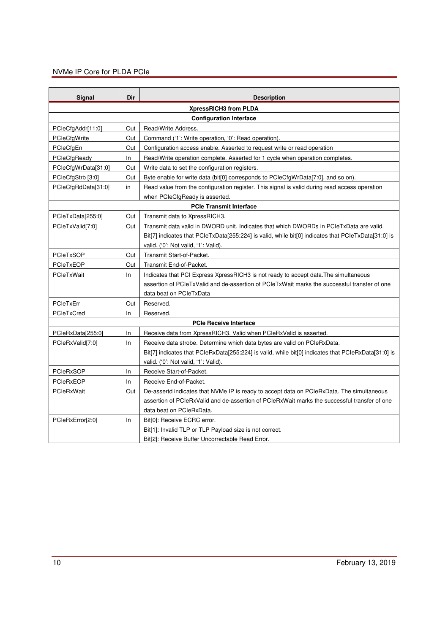| Signal              | Dir | <b>Description</b>                                                                                  |
|---------------------|-----|-----------------------------------------------------------------------------------------------------|
|                     |     | XpressRICH3 from PLDA                                                                               |
|                     |     | <b>Configuration Interface</b>                                                                      |
| PCIeCfgAddr[11:0]   | Out | Read/Write Address.                                                                                 |
| PCIeCfgWrite        | Out | Command ('1': Write operation, '0': Read operation).                                                |
| PCleCfgEn           | Out | Configuration access enable. Asserted to request write or read operation                            |
| PCIeCfgReady        | In. | Read/Write operation complete. Asserted for 1 cycle when operation completes.                       |
| PCleCfgWrData[31:0] | Out | Write data to set the configuration registers.                                                      |
| PCleCfgStrb [3:0]   | Out | Byte enable for write data (bit[0] corresponds to PCIeCfgWrData[7:0], and so on).                   |
| PCleCfgRdData[31:0] | in  | Read value from the configuration register. This signal is valid during read access operation       |
|                     |     | when PCIeCfgReady is asserted.                                                                      |
|                     |     | <b>PCIe Transmit Interface</b>                                                                      |
| PCleTxData[255:0]   | Out | Transmit data to XpressRICH3.                                                                       |
| PCIeTxValid[7:0]    | Out | Transmit data valid in DWORD unit. Indicates that which DWORDs in PCIeTxData are valid.             |
|                     |     | Bit[7] indicates that PCIeTxData[255:224] is valid, while bit[0] indicates that PCIeTxData[31:0] is |
|                     |     | valid. ('0': Not valid, '1': Valid).                                                                |
| PCIeTxSOP           | Out | Transmit Start-of-Packet.                                                                           |
| <b>PCIeTxEOP</b>    | Out | Transmit End-of-Packet.                                                                             |
| PCIeTxWait          | In. | Indicates that PCI Express XpressRICH3 is not ready to accept data. The simultaneous                |
|                     |     | assertion of PCIeTxValid and de-assertion of PCIeTxWait marks the successful transfer of one        |
|                     |     | data beat on PCIeTxData                                                                             |
| PCIeTxErr           | Out | Reserved.                                                                                           |
| PCIeTxCred          | ln. | Reserved.                                                                                           |
|                     |     | <b>PCIe Receive Interface</b>                                                                       |
| PCleRxData[255:0]   | In  | Receive data from XpressRICH3. Valid when PCIeRxValid is asserted.                                  |
| PCIeRxValid[7:0]    | In  | Receive data strobe. Determine which data bytes are valid on PCIeRxData.                            |
|                     |     | Bit[7] indicates that PCIeRxData[255:224] is valid, while bit[0] indicates that PCIeRxData[31:0] is |
|                     |     | valid. ('0': Not valid, '1': Valid).                                                                |
| <b>PCIeRxSOP</b>    | ln. | Receive Start-of-Packet.                                                                            |
| PCIeRxEOP           | ln. | Receive End-of-Packet.                                                                              |
| PCIeRxWait          | Out | De-assertd indicates that NVMe IP is ready to accept data on PCIeRxData. The simultaneous           |
|                     |     | assertion of PCIeRxValid and de-assertion of PCIeRxWait marks the successful transfer of one        |
|                     |     | data beat on PCIeRxData.                                                                            |
| PCIeRxError[2:0]    | In. | Bit[0]: Receive ECRC error.                                                                         |
|                     |     | Bit[1]: Invalid TLP or TLP Payload size is not correct.                                             |
|                     |     | Bit[2]: Receive Buffer Uncorrectable Read Error.                                                    |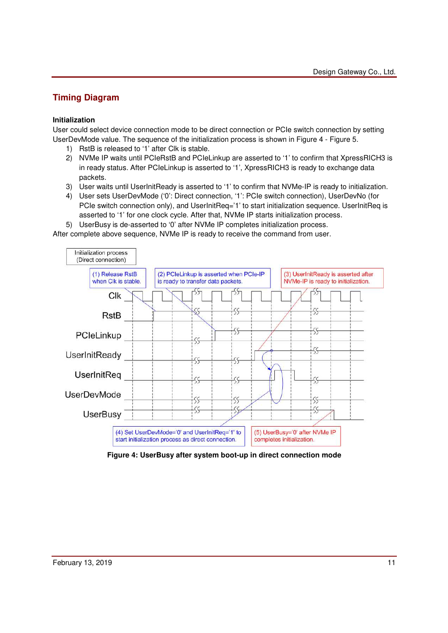# **Timing Diagram**

### **Initialization**

User could select device connection mode to be direct connection or PCIe switch connection by setting UserDevMode value. The sequence of the initialization process is shown in Figure 4 - Figure 5.

- 1) RstB is released to '1' after Clk is stable.
- 2) NVMe IP waits until PCIeRstB and PCIeLinkup are asserted to '1' to confirm that XpressRICH3 is in ready status. After PCIeLinkup is asserted to '1', XpressRICH3 is ready to exchange data packets.
- 3) User waits until UserInitReady is asserted to '1' to confirm that NVMe-IP is ready to initialization.
- 4) User sets UserDevMode ('0': Direct connection, '1': PCIe switch connection), UserDevNo (for PCIe switch connection only), and UserInitReq='1' to start initialization sequence. UserInitReq is asserted to '1' for one clock cycle. After that, NVMe IP starts initialization process.

5) UserBusy is de-asserted to '0' after NVMe IP completes initialization process.

After complete above sequence, NVMe IP is ready to receive the command from user.



**Figure 4: UserBusy after system boot-up in direct connection mode**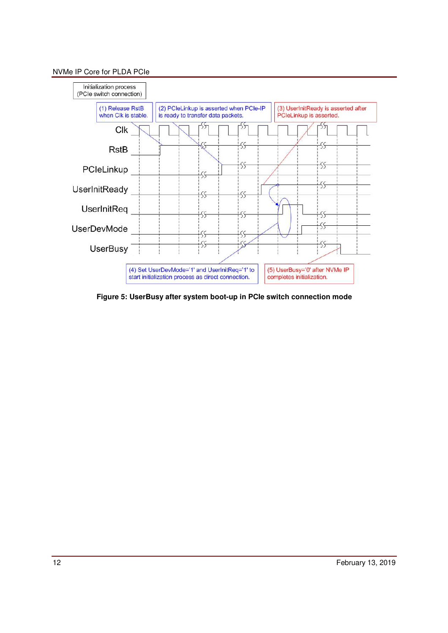

**Figure 5: UserBusy after system boot-up in PCIe switch connection mode**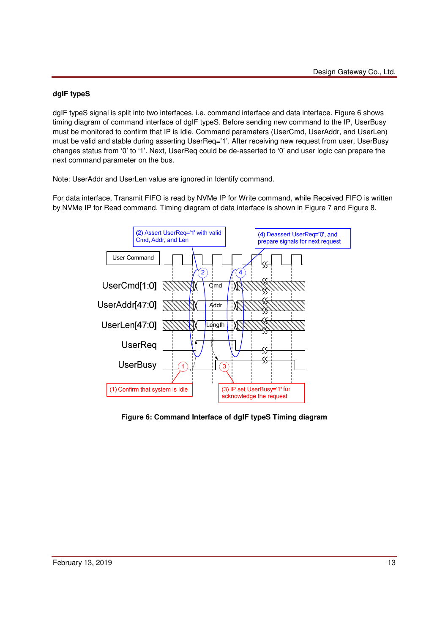## **dgIF typeS**

dgIF typeS signal is split into two interfaces, i.e. command interface and data interface. Figure 6 shows timing diagram of command interface of dgIF typeS. Before sending new command to the IP, UserBusy must be monitored to confirm that IP is Idle. Command parameters (UserCmd, UserAddr, and UserLen) must be valid and stable during asserting UserReq='1'. After receiving new request from user, UserBusy changes status from '0' to '1'. Next, UserReq could be de-asserted to '0' and user logic can prepare the next command parameter on the bus.

Note: UserAddr and UserLen value are ignored in Identify command.

For data interface, Transmit FIFO is read by NVMe IP for Write command, while Received FIFO is written by NVMe IP for Read command. Timing diagram of data interface is shown in Figure 7 and Figure 8.



**Figure 6: Command Interface of dgIF typeS Timing diagram**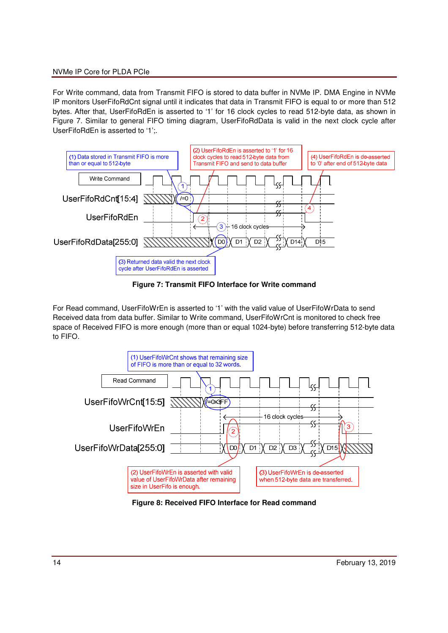For Write command, data from Transmit FIFO is stored to data buffer in NVMe IP. DMA Engine in NVMe IP monitors UserFifoRdCnt signal until it indicates that data in Transmit FIFO is equal to or more than 512 bytes. After that, UserFifoRdEn is asserted to '1' for 16 clock cycles to read 512-byte data, as shown in Figure 7. Similar to general FIFO timing diagram, UserFifoRdData is valid in the next clock cycle after UserFifoRdEn is asserted to '1';.



**Figure 7: Transmit FIFO Interface for Write command**

For Read command, UserFifoWrEn is asserted to '1' with the valid value of UserFifoWrData to send Received data from data buffer. Similar to Write command, UserFifoWrCnt is monitored to check free space of Received FIFO is more enough (more than or equal 1024-byte) before transferring 512-byte data to FIFO.



**Figure 8: Received FIFO Interface for Read command**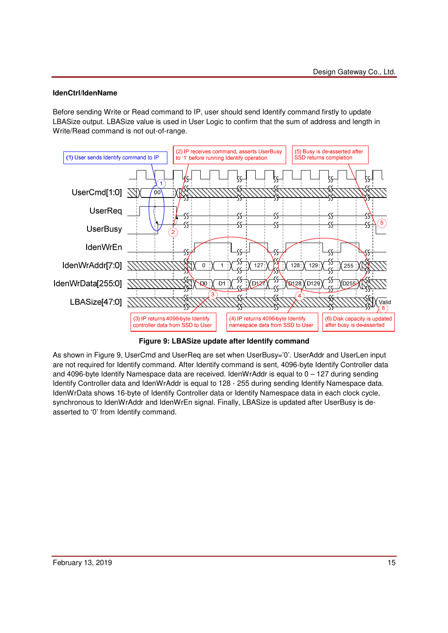### **IdenCtrl/IdenName**

Before sending Write or Read command to IP, user should send Identify command firstly to update LBASize output. LBASize value is used in User Logic to confirm that the sum of address and length in Write/Read command is not out-of-range.



**Figure 9: LBASize update after Identify command** 

As shown in Figure 9, UserCmd and UserReq are set when UserBusy='0'. UserAddr and UserLen input are not required for Identify command. After Identify command is sent, 4096-byte Identify Controller data and 4096-byte Identify Namespace data are received. IdenWrAddr is equal to 0 – 127 during sending Identify Controller data and IdenWrAddr is equal to 128 - 255 during sending Identify Namespace data. IdenWrData shows 16-byte of Identify Controller data or Identify Namespace data in each clock cycle, synchronous to IdenWrAddr and IdenWrEn signal. Finally, LBASize is updated after UserBusy is deasserted to '0' from Identify command.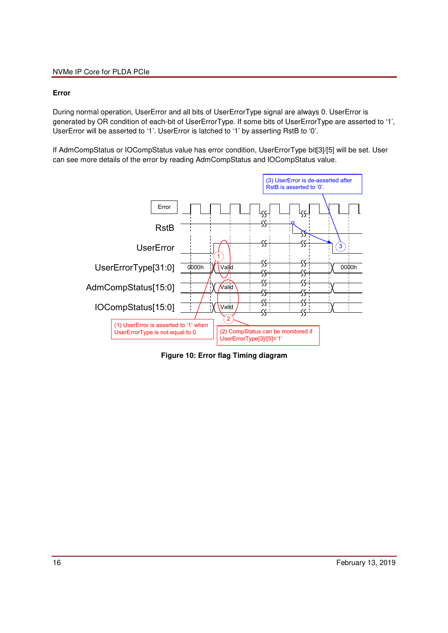### **Error**

During normal operation, UserError and all bits of UserErrorType signal are always 0. UserError is generated by OR condition of each-bit of UserErrorType. If some bits of UserErrorType are asserted to '1', UserError will be asserted to '1'. UserError is latched to '1' by asserting RstB to '0'.

If AdmCompStatus or IOCompStatus value has error condition, UserErrorType bit[3]/[5] will be set. User can see more details of the error by reading AdmCompStatus and IOCompStatus value.



**Figure 10: Error flag Timing diagram**